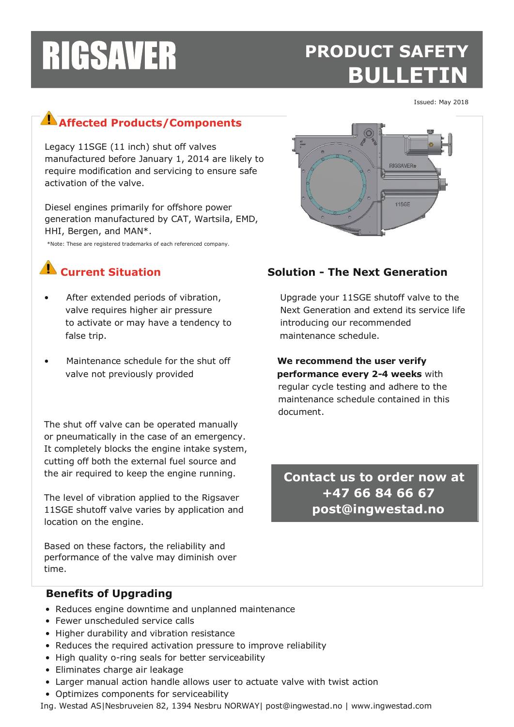## **PRODUCT SAFETY BULLETIN**

RIGSAVER®

1180

Issued: May 2018

## **Affected Products/Components**

Legacy 11SGE (11 inch) shut off valves manufactured before January 1, 2014 are likely to require modification and servicing to ensure safe activation of the valve.

Diesel engines primarily for offshore power generation manufactured by CAT, Wartsila, EMD, HHI, Bergen, and MAN\*.

\*Note: These are registered trademarks of each referenced company.



- to activate or may have a tendency to introducing our recommended false trip. maintenance schedule.
- Maintenance schedule for the shut off **We recommend the user verify**

The shut off valve can be operated manually or pneumatically in the case of an emergency. It completely blocks the engine intake system, cutting off both the external fuel source and the air required to keep the engine running.

The level of vibration applied to the Rigsaver 11SGE shutoff valve varies by application and location on the engine.

Based on these factors, the reliability and performance of the valve may diminish over time.

## **Current Situation Solution - The Next Generation**

After extended periods of vibration, Upgrade your 11SGE shutoff valve to the valve requires higher air pressure Next Generation and extend its service life

 valve not previously provided **performance every 2-4 weeks** with regular cycle testing and adhere to the maintenance schedule contained in this document.

> **Contact us to order now at +47 66 84 66 67 post@ingwestad.no**

#### **Benefits of Upgrading**

- Reduces engine downtime and unplanned maintenance
- Fewer unscheduled service calls
- Higher durability and vibration resistance
- Reduces the required activation pressure to improve reliability
- High quality o-ring seals for better serviceability
- Eliminates charge air leakage
- Larger manual action handle allows user to actuate valve with twist action
- Optimizes components for serviceability

Ing. Westad AS|Nesbruveien 82, 1394 Nesbru NORWAY| post@ingwestad.no | www.ingwestad.com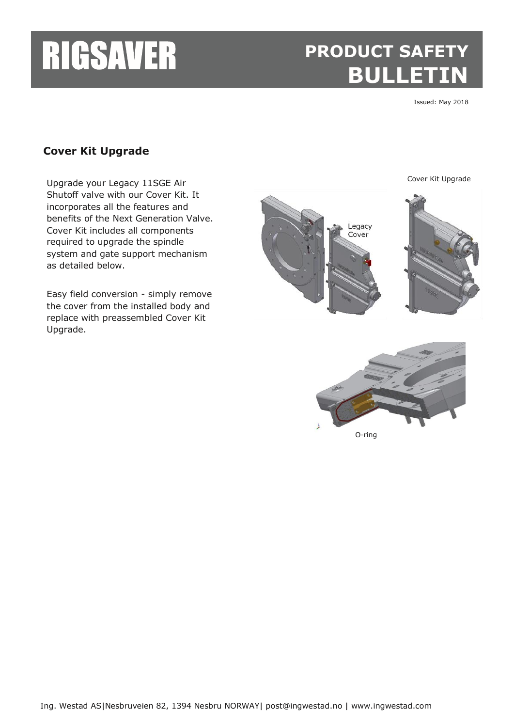## **PRODUCT SAFETY BULLETIN**

Issued: May 2018

Cover Kit Upgrade

### **Cover Kit Upgrade**

Upgrade your Legacy 11SGE Air Shutoff valve with our Cover Kit. It incorporates all the features and benefits of the Next Generation Valve. Cover Kit includes all components required to upgrade the spindle system and gate support mechanism as detailed below.

Easy field conversion - simply remove the cover from the installed body and replace with preassembled Cover Kit Upgrade.





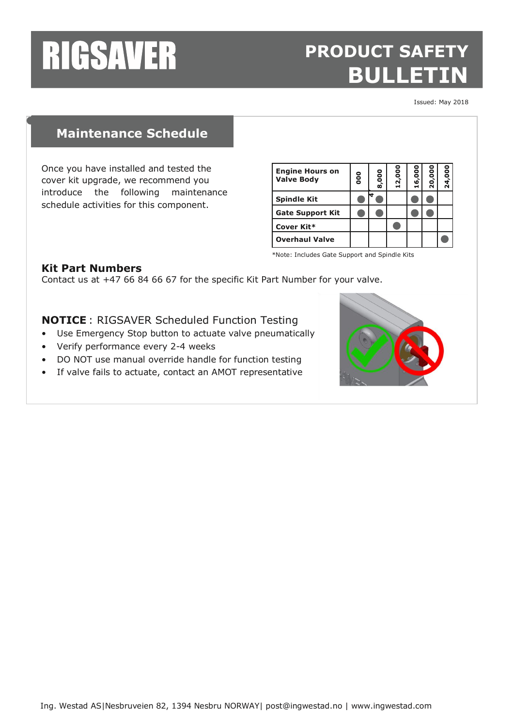## **PRODUCT SAFETY BULLETIN**

Issued: May 2018

### **Maintenance Schedule**

Once you have installed and tested the cover kit upgrade, we recommend you introduce the following maintenance schedule activities for this component.

| <b>Engine Hours on</b><br><b>Valve Body</b> | <b>OOO</b> | 8,000 | 12,000 | 16,000 | 20,000 | 24,000 |
|---------------------------------------------|------------|-------|--------|--------|--------|--------|
| <b>Spindle Kit</b>                          |            |       |        |        |        |        |
| <b>Gate Support Kit</b>                     |            |       |        |        |        |        |
| Cover Kit*                                  |            |       |        |        |        |        |
| <b>Overhaul Valve</b>                       |            |       |        |        |        |        |

<sup>\*</sup>Note: Includes Gate Support and Spindle Kits

#### **Kit Part Numbers**

Contact us at +47 66 84 66 67 for the specific Kit Part Number for your valve.

**NOTICE** : RIGSAVER Scheduled Function Testing

- Use Emergency Stop button to actuate valve pneumatically
- Verify performance every 2-4 weeks
- DO NOT use manual override handle for function testing
- If valve fails to actuate, contact an AMOT representative